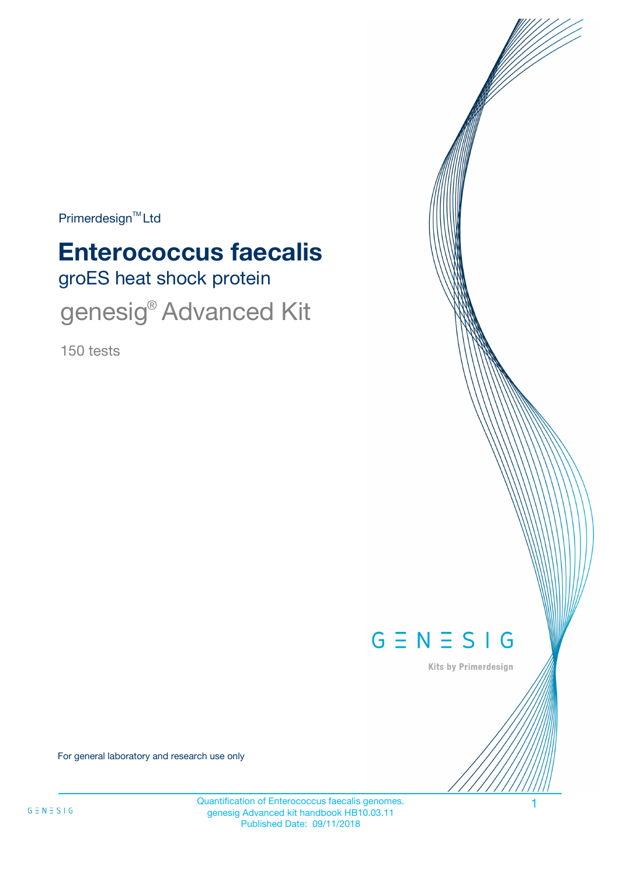Primerdesign<sup>™</sup>Ltd

# groES heat shock protein **Enterococcus faecalis**

genesig<sup>®</sup> Advanced Kit

150 tests



Kits by Primerdesign

For general laboratory and research use only

Quantification of Enterococcus faecalis genomes. 1 genesig Advanced kit handbook HB10.03.11 Published Date: 09/11/2018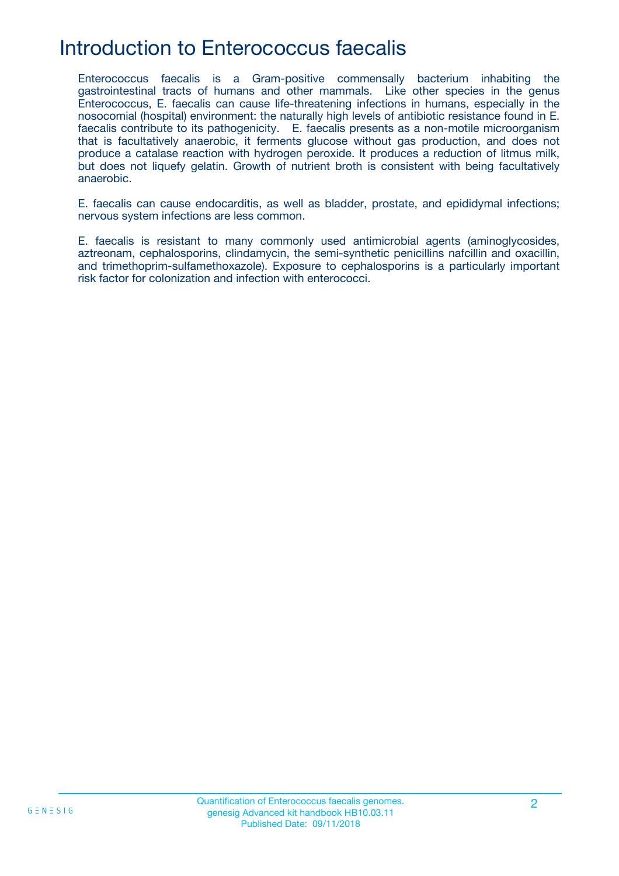### Introduction to Enterococcus faecalis

Enterococcus faecalis is a Gram-positive commensally bacterium inhabiting the gastrointestinal tracts of humans and other mammals. Like other species in the genus Enterococcus, E. faecalis can cause life-threatening infections in humans, especially in the nosocomial (hospital) environment: the naturally high levels of antibiotic resistance found in E. faecalis contribute to its pathogenicity. E. faecalis presents as a non-motile microorganism that is facultatively anaerobic, it ferments glucose without gas production, and does not produce a catalase reaction with hydrogen peroxide. It produces a reduction of litmus milk, but does not liquefy gelatin. Growth of nutrient broth is consistent with being facultatively anaerobic.

E. faecalis can cause endocarditis, as well as bladder, prostate, and epididymal infections; nervous system infections are less common.

E. faecalis is resistant to many commonly used antimicrobial agents (aminoglycosides, aztreonam, cephalosporins, clindamycin, the semi-synthetic penicillins nafcillin and oxacillin, and trimethoprim-sulfamethoxazole). Exposure to cephalosporins is a particularly important risk factor for colonization and infection with enterococci.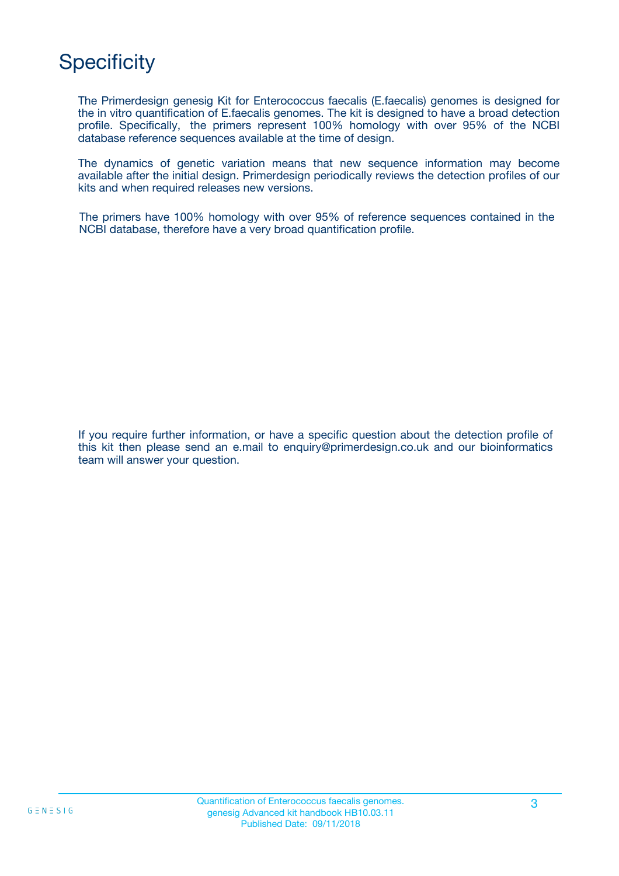# **Specificity**

The Primerdesign genesig Kit for Enterococcus faecalis (E.faecalis) genomes is designed for the in vitro quantification of E.faecalis genomes. The kit is designed to have a broad detection profile. Specifically, the primers represent 100% homology with over 95% of the NCBI database reference sequences available at the time of design.

The dynamics of genetic variation means that new sequence information may become available after the initial design. Primerdesign periodically reviews the detection profiles of our kits and when required releases new versions.

The primers have 100% homology with over 95% of reference sequences contained in the NCBI database, therefore have a very broad quantification profile.

If you require further information, or have a specific question about the detection profile of this kit then please send an e.mail to enquiry@primerdesign.co.uk and our bioinformatics team will answer your question.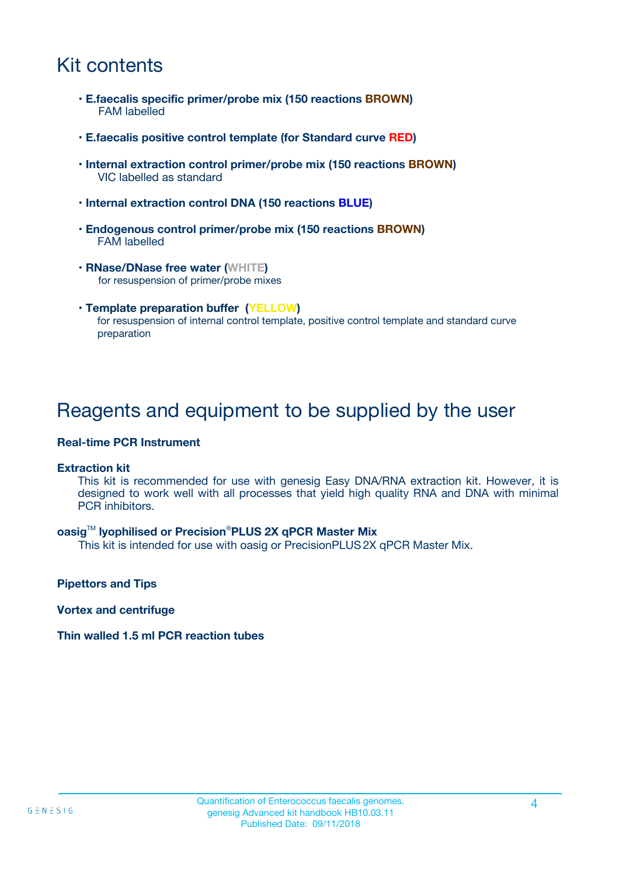### Kit contents

- **E.faecalis specific primer/probe mix (150 reactions BROWN)** FAM labelled
- **E.faecalis positive control template (for Standard curve RED)**
- **Internal extraction control primer/probe mix (150 reactions BROWN)** VIC labelled as standard
- **Internal extraction control DNA (150 reactions BLUE)**
- **Endogenous control primer/probe mix (150 reactions BROWN)** FAM labelled
- **RNase/DNase free water (WHITE)** for resuspension of primer/probe mixes
- **Template preparation buffer (YELLOW)** for resuspension of internal control template, positive control template and standard curve preparation

### Reagents and equipment to be supplied by the user

#### **Real-time PCR Instrument**

#### **Extraction kit**

This kit is recommended for use with genesig Easy DNA/RNA extraction kit. However, it is designed to work well with all processes that yield high quality RNA and DNA with minimal PCR inhibitors.

#### **oasig**TM **lyophilised or Precision**®**PLUS 2X qPCR Master Mix**

This kit is intended for use with oasig or PrecisionPLUS2X qPCR Master Mix.

**Pipettors and Tips**

**Vortex and centrifuge**

#### **Thin walled 1.5 ml PCR reaction tubes**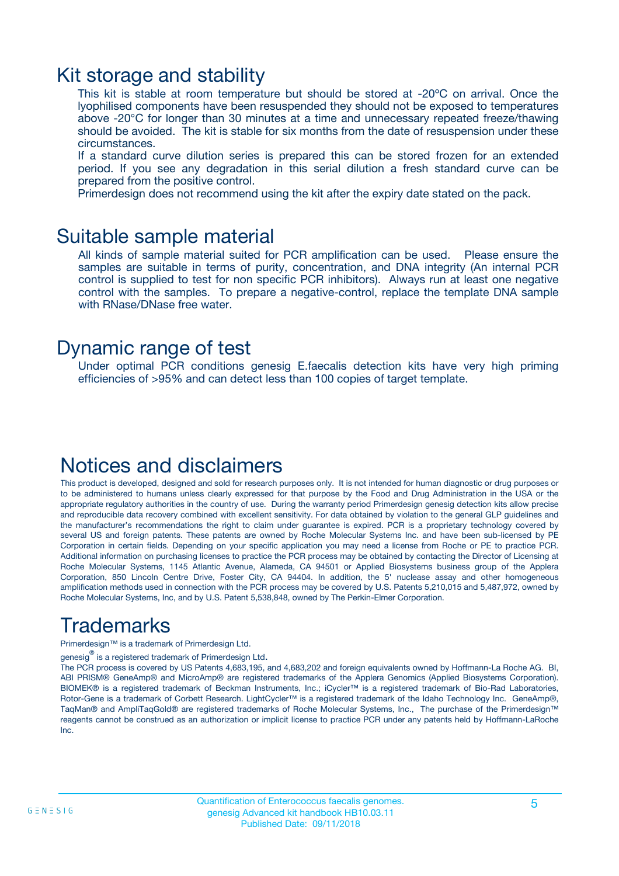### Kit storage and stability

This kit is stable at room temperature but should be stored at -20ºC on arrival. Once the lyophilised components have been resuspended they should not be exposed to temperatures above -20°C for longer than 30 minutes at a time and unnecessary repeated freeze/thawing should be avoided. The kit is stable for six months from the date of resuspension under these circumstances.

If a standard curve dilution series is prepared this can be stored frozen for an extended period. If you see any degradation in this serial dilution a fresh standard curve can be prepared from the positive control.

Primerdesign does not recommend using the kit after the expiry date stated on the pack.

### Suitable sample material

All kinds of sample material suited for PCR amplification can be used. Please ensure the samples are suitable in terms of purity, concentration, and DNA integrity (An internal PCR control is supplied to test for non specific PCR inhibitors). Always run at least one negative control with the samples. To prepare a negative-control, replace the template DNA sample with RNase/DNase free water.

### Dynamic range of test

Under optimal PCR conditions genesig E.faecalis detection kits have very high priming efficiencies of >95% and can detect less than 100 copies of target template.

### Notices and disclaimers

This product is developed, designed and sold for research purposes only. It is not intended for human diagnostic or drug purposes or to be administered to humans unless clearly expressed for that purpose by the Food and Drug Administration in the USA or the appropriate regulatory authorities in the country of use. During the warranty period Primerdesign genesig detection kits allow precise and reproducible data recovery combined with excellent sensitivity. For data obtained by violation to the general GLP guidelines and the manufacturer's recommendations the right to claim under guarantee is expired. PCR is a proprietary technology covered by several US and foreign patents. These patents are owned by Roche Molecular Systems Inc. and have been sub-licensed by PE Corporation in certain fields. Depending on your specific application you may need a license from Roche or PE to practice PCR. Additional information on purchasing licenses to practice the PCR process may be obtained by contacting the Director of Licensing at Roche Molecular Systems, 1145 Atlantic Avenue, Alameda, CA 94501 or Applied Biosystems business group of the Applera Corporation, 850 Lincoln Centre Drive, Foster City, CA 94404. In addition, the 5' nuclease assay and other homogeneous amplification methods used in connection with the PCR process may be covered by U.S. Patents 5,210,015 and 5,487,972, owned by Roche Molecular Systems, Inc, and by U.S. Patent 5,538,848, owned by The Perkin-Elmer Corporation.

## Trademarks

Primerdesign™ is a trademark of Primerdesign Ltd.

genesig $^\circledR$  is a registered trademark of Primerdesign Ltd.

The PCR process is covered by US Patents 4,683,195, and 4,683,202 and foreign equivalents owned by Hoffmann-La Roche AG. BI, ABI PRISM® GeneAmp® and MicroAmp® are registered trademarks of the Applera Genomics (Applied Biosystems Corporation). BIOMEK® is a registered trademark of Beckman Instruments, Inc.; iCycler™ is a registered trademark of Bio-Rad Laboratories, Rotor-Gene is a trademark of Corbett Research. LightCycler™ is a registered trademark of the Idaho Technology Inc. GeneAmp®, TaqMan® and AmpliTaqGold® are registered trademarks of Roche Molecular Systems, Inc., The purchase of the Primerdesign™ reagents cannot be construed as an authorization or implicit license to practice PCR under any patents held by Hoffmann-LaRoche Inc.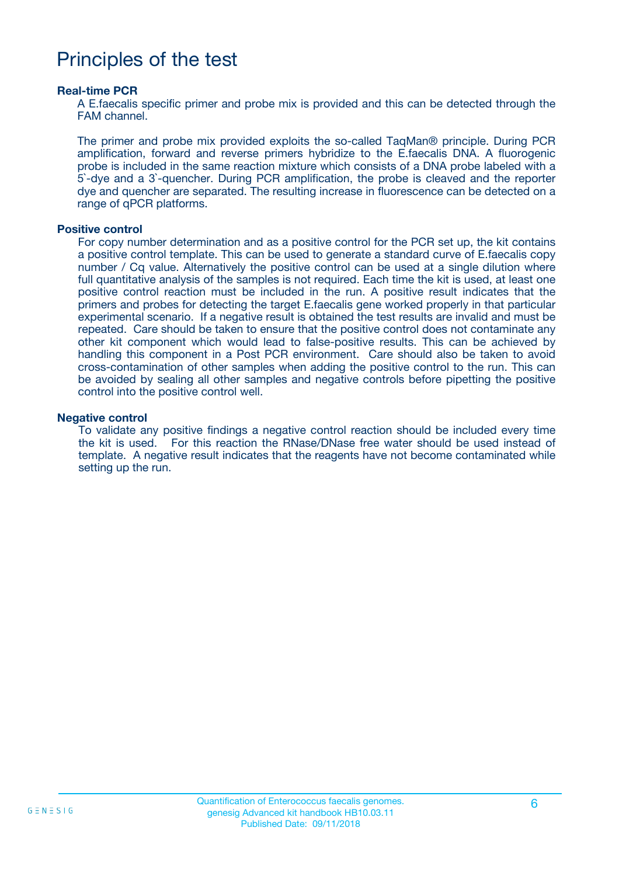### Principles of the test

#### **Real-time PCR**

A E.faecalis specific primer and probe mix is provided and this can be detected through the FAM channel.

The primer and probe mix provided exploits the so-called TaqMan® principle. During PCR amplification, forward and reverse primers hybridize to the E.faecalis DNA. A fluorogenic probe is included in the same reaction mixture which consists of a DNA probe labeled with a 5`-dye and a 3`-quencher. During PCR amplification, the probe is cleaved and the reporter dye and quencher are separated. The resulting increase in fluorescence can be detected on a range of qPCR platforms.

#### **Positive control**

For copy number determination and as a positive control for the PCR set up, the kit contains a positive control template. This can be used to generate a standard curve of E.faecalis copy number / Cq value. Alternatively the positive control can be used at a single dilution where full quantitative analysis of the samples is not required. Each time the kit is used, at least one positive control reaction must be included in the run. A positive result indicates that the primers and probes for detecting the target E.faecalis gene worked properly in that particular experimental scenario. If a negative result is obtained the test results are invalid and must be repeated. Care should be taken to ensure that the positive control does not contaminate any other kit component which would lead to false-positive results. This can be achieved by handling this component in a Post PCR environment. Care should also be taken to avoid cross-contamination of other samples when adding the positive control to the run. This can be avoided by sealing all other samples and negative controls before pipetting the positive control into the positive control well.

#### **Negative control**

To validate any positive findings a negative control reaction should be included every time the kit is used. For this reaction the RNase/DNase free water should be used instead of template. A negative result indicates that the reagents have not become contaminated while setting up the run.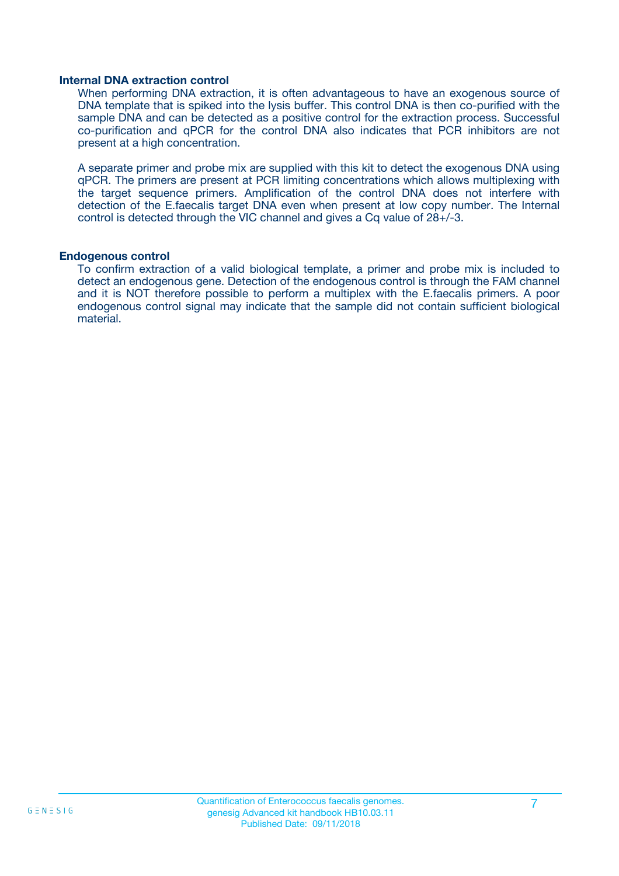#### **Internal DNA extraction control**

When performing DNA extraction, it is often advantageous to have an exogenous source of DNA template that is spiked into the lysis buffer. This control DNA is then co-purified with the sample DNA and can be detected as a positive control for the extraction process. Successful co-purification and qPCR for the control DNA also indicates that PCR inhibitors are not present at a high concentration.

A separate primer and probe mix are supplied with this kit to detect the exogenous DNA using qPCR. The primers are present at PCR limiting concentrations which allows multiplexing with the target sequence primers. Amplification of the control DNA does not interfere with detection of the E.faecalis target DNA even when present at low copy number. The Internal control is detected through the VIC channel and gives a Cq value of 28+/-3.

#### **Endogenous control**

To confirm extraction of a valid biological template, a primer and probe mix is included to detect an endogenous gene. Detection of the endogenous control is through the FAM channel and it is NOT therefore possible to perform a multiplex with the E.faecalis primers. A poor endogenous control signal may indicate that the sample did not contain sufficient biological material.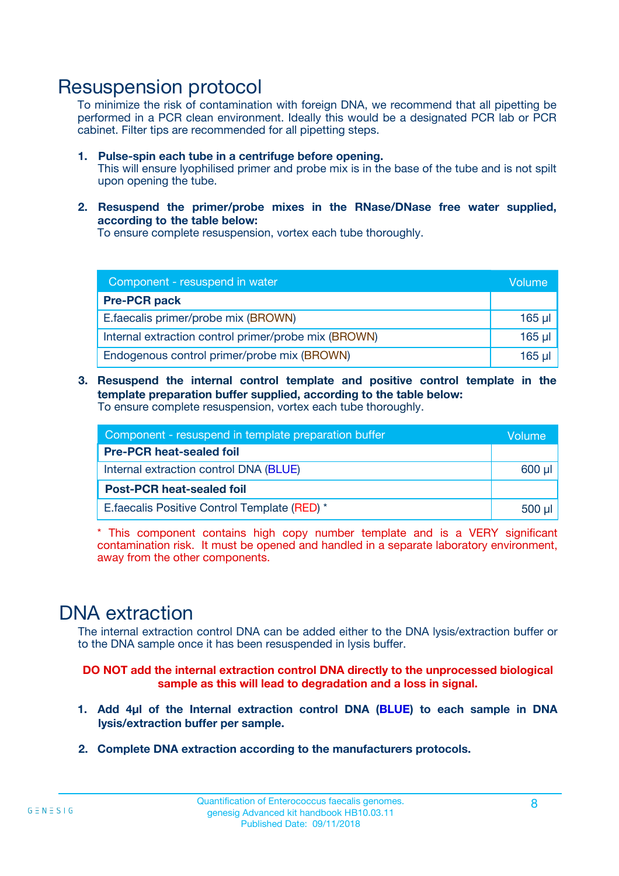### Resuspension protocol

To minimize the risk of contamination with foreign DNA, we recommend that all pipetting be performed in a PCR clean environment. Ideally this would be a designated PCR lab or PCR cabinet. Filter tips are recommended for all pipetting steps.

- **1. Pulse-spin each tube in a centrifuge before opening.** This will ensure lyophilised primer and probe mix is in the base of the tube and is not spilt upon opening the tube.
- **2. Resuspend the primer/probe mixes in the RNase/DNase free water supplied, according to the table below:**

To ensure complete resuspension, vortex each tube thoroughly.

| Component - resuspend in water                       |         |  |
|------------------------------------------------------|---------|--|
| <b>Pre-PCR pack</b>                                  |         |  |
| E.faecalis primer/probe mix (BROWN)                  | $165$ µ |  |
| Internal extraction control primer/probe mix (BROWN) | 165 µl  |  |
| Endogenous control primer/probe mix (BROWN)          | 165 µl  |  |

**3. Resuspend the internal control template and positive control template in the template preparation buffer supplied, according to the table below:** To ensure complete resuspension, vortex each tube thoroughly.

| Component - resuspend in template preparation buffer |  |  |  |
|------------------------------------------------------|--|--|--|
| <b>Pre-PCR heat-sealed foil</b>                      |  |  |  |
| Internal extraction control DNA (BLUE)               |  |  |  |
| <b>Post-PCR heat-sealed foil</b>                     |  |  |  |
| E. faecalis Positive Control Template (RED) *        |  |  |  |

\* This component contains high copy number template and is a VERY significant contamination risk. It must be opened and handled in a separate laboratory environment, away from the other components.

### DNA extraction

The internal extraction control DNA can be added either to the DNA lysis/extraction buffer or to the DNA sample once it has been resuspended in lysis buffer.

**DO NOT add the internal extraction control DNA directly to the unprocessed biological sample as this will lead to degradation and a loss in signal.**

- **1. Add 4µl of the Internal extraction control DNA (BLUE) to each sample in DNA lysis/extraction buffer per sample.**
- **2. Complete DNA extraction according to the manufacturers protocols.**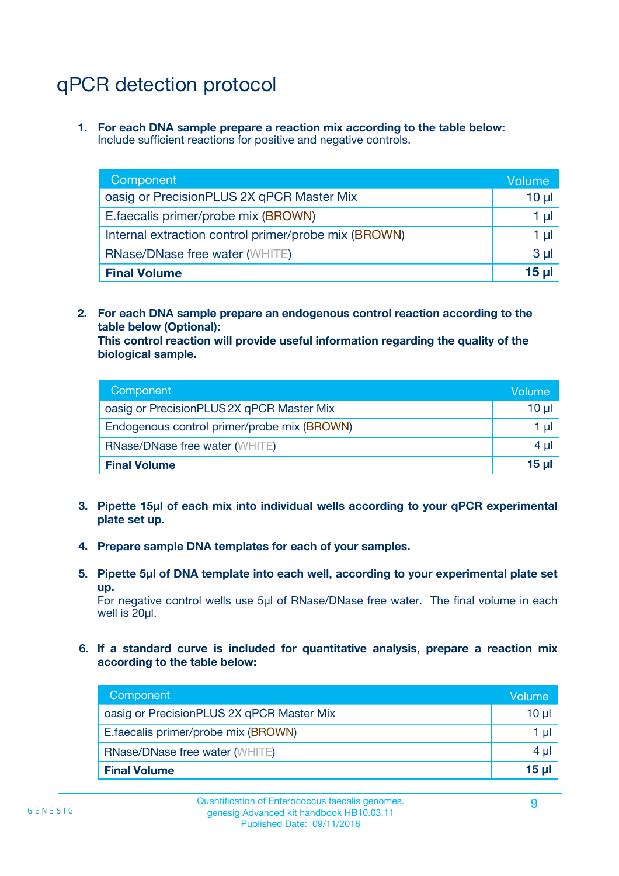# qPCR detection protocol

**1. For each DNA sample prepare a reaction mix according to the table below:** Include sufficient reactions for positive and negative controls.

| Component                                            | Volume   |
|------------------------------------------------------|----------|
| oasig or PrecisionPLUS 2X qPCR Master Mix            | $10 \mu$ |
| E.faecalis primer/probe mix (BROWN)                  | 1 µI     |
| Internal extraction control primer/probe mix (BROWN) | 1 µl     |
| <b>RNase/DNase free water (WHITE)</b>                | $3 \mu$  |
| <b>Final Volume</b>                                  | 15 µl    |

**2. For each DNA sample prepare an endogenous control reaction according to the table below (Optional):**

**This control reaction will provide useful information regarding the quality of the biological sample.**

| Component                                   | Volume          |
|---------------------------------------------|-----------------|
| oasig or PrecisionPLUS 2X qPCR Master Mix   | $10 \mu$        |
| Endogenous control primer/probe mix (BROWN) | 1 µI            |
| <b>RNase/DNase free water (WHITE)</b>       | 4 µl            |
| <b>Final Volume</b>                         | 15 <sub>µ</sub> |

- **3. Pipette 15µl of each mix into individual wells according to your qPCR experimental plate set up.**
- **4. Prepare sample DNA templates for each of your samples.**
- **5. Pipette 5µl of DNA template into each well, according to your experimental plate set up.**

For negative control wells use 5µl of RNase/DNase free water. The final volume in each well is 20ul.

**6. If a standard curve is included for quantitative analysis, prepare a reaction mix according to the table below:**

| Component                                 | Volume   |
|-------------------------------------------|----------|
| oasig or PrecisionPLUS 2X qPCR Master Mix | $10 \mu$ |
| E.faecalis primer/probe mix (BROWN)       |          |
| <b>RNase/DNase free water (WHITE)</b>     | 4 µl     |
| <b>Final Volume</b>                       | 15 µl    |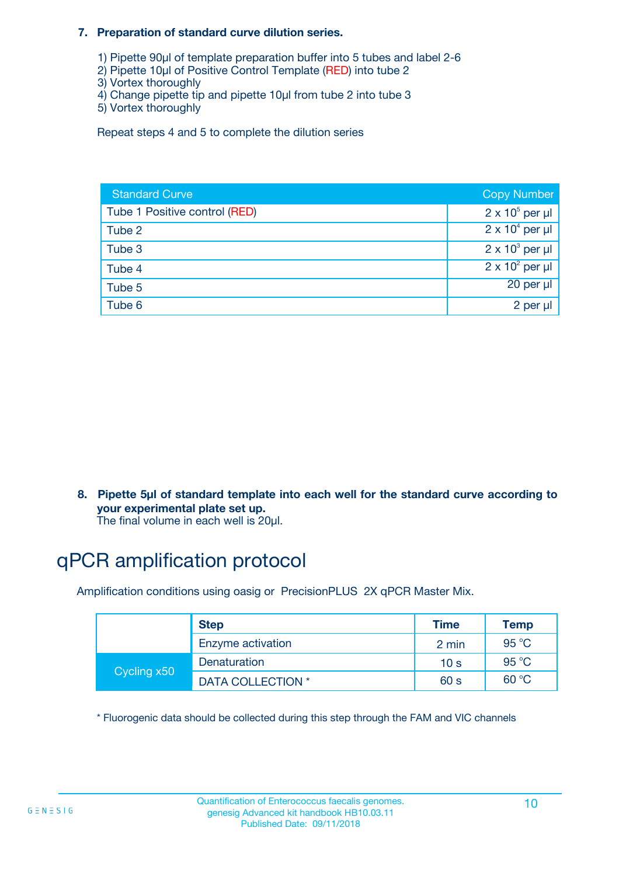#### **7. Preparation of standard curve dilution series.**

- 1) Pipette 90µl of template preparation buffer into 5 tubes and label 2-6
- 2) Pipette 10µl of Positive Control Template (RED) into tube 2
- 3) Vortex thoroughly
- 4) Change pipette tip and pipette 10µl from tube 2 into tube 3
- 5) Vortex thoroughly

Repeat steps 4 and 5 to complete the dilution series

| <b>Standard Curve</b>         | <b>Copy Number</b>     |
|-------------------------------|------------------------|
| Tube 1 Positive control (RED) | $2 \times 10^5$ per µl |
| Tube 2                        | $2 \times 10^4$ per µl |
| Tube 3                        | $2 \times 10^3$ per µl |
| Tube 4                        | $2 \times 10^2$ per µl |
| Tube 5                        | 20 per µl              |
| Tube 6                        | 2 per µl               |

**8. Pipette 5µl of standard template into each well for the standard curve according to your experimental plate set up.**

#### The final volume in each well is 20µl.

## qPCR amplification protocol

Amplification conditions using oasig or PrecisionPLUS 2X qPCR Master Mix.

|             | <b>Step</b>       | <b>Time</b>     | Temp    |
|-------------|-------------------|-----------------|---------|
|             | Enzyme activation | 2 min           | 95 °C   |
| Cycling x50 | Denaturation      | 10 <sub>s</sub> | 95 $°C$ |
|             | DATA COLLECTION * | 60 s            | 60 °C   |

\* Fluorogenic data should be collected during this step through the FAM and VIC channels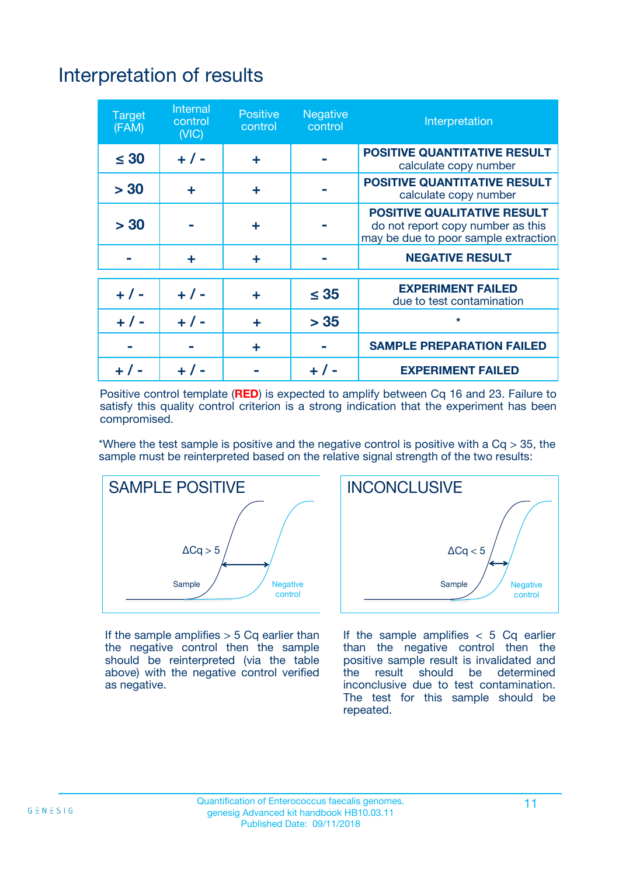# Interpretation of results

| <b>Target</b><br>(FAM) | <b>Internal</b><br>control<br>(NIC) | <b>Positive</b><br>control | <b>Negative</b><br>control | Interpretation                                                                                                  |
|------------------------|-------------------------------------|----------------------------|----------------------------|-----------------------------------------------------------------------------------------------------------------|
| $\leq 30$              | $+ 1 -$                             | ÷                          |                            | <b>POSITIVE QUANTITATIVE RESULT</b><br>calculate copy number                                                    |
| > 30                   | ٠                                   | ÷                          |                            | <b>POSITIVE QUANTITATIVE RESULT</b><br>calculate copy number                                                    |
| > 30                   |                                     | ÷                          |                            | <b>POSITIVE QUALITATIVE RESULT</b><br>do not report copy number as this<br>may be due to poor sample extraction |
|                        | ÷                                   | ÷                          |                            | <b>NEGATIVE RESULT</b>                                                                                          |
| $+ 1 -$                | $+ 1 -$                             | ÷                          | $\leq$ 35                  | <b>EXPERIMENT FAILED</b><br>due to test contamination                                                           |
| $+$ / -                | $+ 1 -$                             | ÷                          | > 35                       | $\star$                                                                                                         |
|                        |                                     | ÷                          |                            | <b>SAMPLE PREPARATION FAILED</b>                                                                                |
|                        |                                     |                            | $+$ /                      | <b>EXPERIMENT FAILED</b>                                                                                        |

Positive control template (**RED**) is expected to amplify between Cq 16 and 23. Failure to satisfy this quality control criterion is a strong indication that the experiment has been compromised.

\*Where the test sample is positive and the negative control is positive with a  $Ca > 35$ , the sample must be reinterpreted based on the relative signal strength of the two results:



If the sample amplifies  $> 5$  Cq earlier than the negative control then the sample should be reinterpreted (via the table above) with the negative control verified as negative.



If the sample amplifies  $< 5$  Cq earlier than the negative control then the positive sample result is invalidated and<br>the result should be determined  $the$  result should be inconclusive due to test contamination. The test for this sample should be repeated.